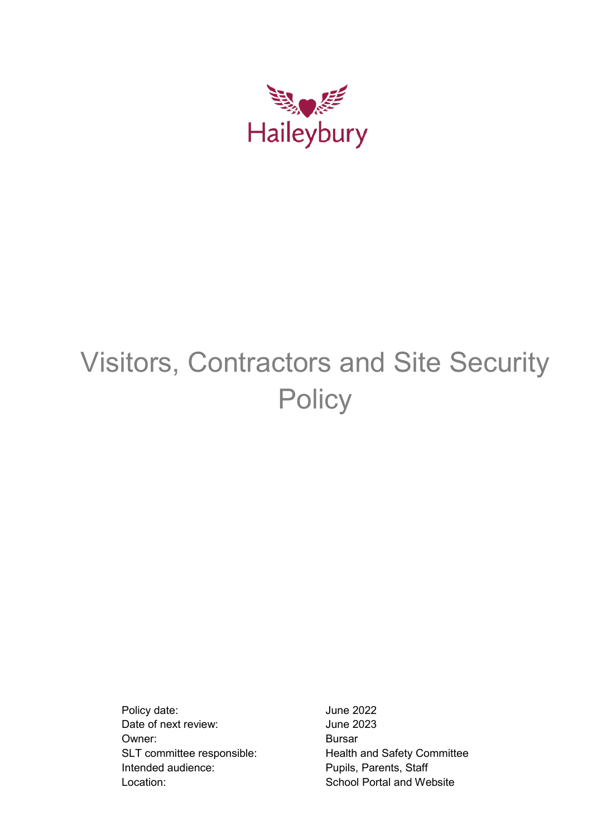

# Visitors, Contractors and Site Security **Policy**

Policy date:  $\rho$  June 2022 Date of next review: Unit Contract Unit Contract Unit Contract Unit Contract Unit Contract Unit Contract Unit Co Owner: Bursar Intended audience: Pupils, Parents, Staff Location: School Portal and Website

SLT committee responsible: Health and Safety Committee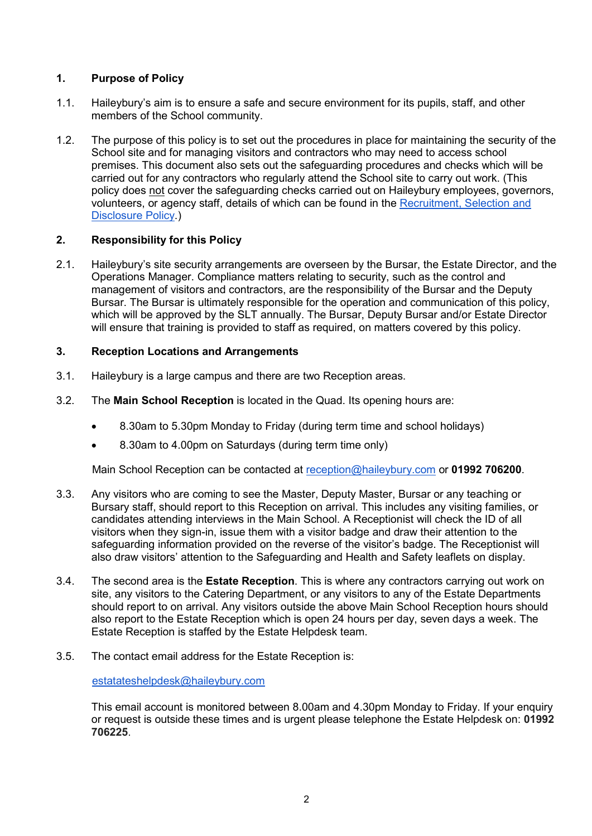# **1. Purpose of Policy**

- 1.1. Haileybury's aim is to ensure a safe and secure environment for its pupils, staff, and other members of the School community.
- 1.2. The purpose of this policy is to set out the procedures in place for maintaining the security of the School site and for managing visitors and contractors who may need to access school premises. This document also sets out the safeguarding procedures and checks which will be carried out for any contractors who regularly attend the School site to carry out work. (This policy does not cover the safeguarding checks carried out on Haileybury employees, governors, volunteers, or agency staff, details of which can be found in the [Recruitment,](https://portal.haileybury.com/document/62) [Selection and](https://portal.haileybury.com/document/62)  [Disclosure Policy.](https://portal.haileybury.com/document/62))

#### **2. Responsibility for this Policy**

2.1. Haileybury's site security arrangements are overseen by the Bursar, the Estate Director, and the Operations Manager. Compliance matters relating to security, such as the control and management of visitors and contractors, are the responsibility of the Bursar and the Deputy Bursar. The Bursar is ultimately responsible for the operation and communication of this policy, which will be approved by the SLT annually. The Bursar, Deputy Bursar and/or Estate Director will ensure that training is provided to staff as required, on matters covered by this policy.

#### **3. Reception Locations and Arrangements**

- 3.1. Haileybury is a large campus and there are two Reception areas.
- 3.2. The **Main School Reception** is located in the Quad. Its opening hours are:
	- 8.30am to 5.30pm Monday to Friday (during term time and school holidays)
	- 8.30am to 4.00pm on Saturdays (during term time only)

Main School Reception can be contacted at [reception@haileybury.com](mailto:reception@haileybury.com) or **01992 706200**.

- 3.3. Any visitors who are coming to see the Master, Deputy Master, Bursar or any teaching or Bursary staff, should report to this Reception on arrival. This includes any visiting families, or candidates attending interviews in the Main School. A Receptionist will check the ID of all visitors when they sign-in, issue them with a visitor badge and draw their attention to the safeguarding information provided on the reverse of the visitor's badge. The Receptionist will also draw visitors' attention to the Safeguarding and Health and Safety leaflets on display.
- 3.4. The second area is the **Estate Reception**. This is where any contractors carrying out work on site, any visitors to the Catering Department, or any visitors to any of the Estate Departments should report to on arrival. Any visitors outside the above Main School Reception hours should also report to the Estate Reception which is open 24 hours per day, seven days a week. The Estate Reception is staffed by the Estate Helpdesk team.
- 3.5. The contact email address for the Estate Reception is:

[estatateshelpdesk@haileybury.com](mailto:estatateshelpdesk@haileybury.com)

This email account is monitored between 8.00am and 4.30pm Monday to Friday. If your enquiry or request is outside these times and is urgent please telephone the Estate Helpdesk on: **01992 706225**.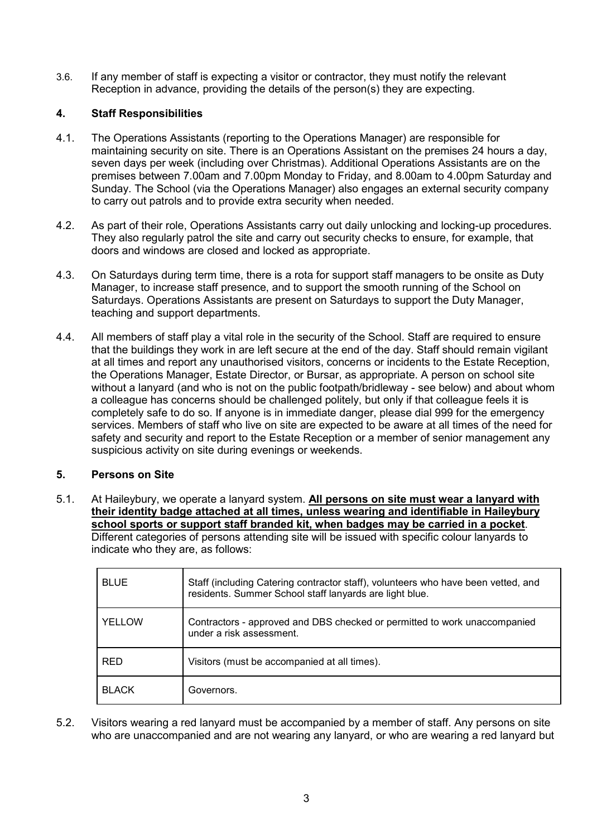3.6. If any member of staff is expecting a visitor or contractor, they must notify the relevant Reception in advance, providing the details of the person(s) they are expecting.

# **4. Staff Responsibilities**

- 4.1. The Operations Assistants (reporting to the Operations Manager) are responsible for maintaining security on site. There is an Operations Assistant on the premises 24 hours a day, seven days per week (including over Christmas). Additional Operations Assistants are on the premises between 7.00am and 7.00pm Monday to Friday, and 8.00am to 4.00pm Saturday and Sunday. The School (via the Operations Manager) also engages an external security company to carry out patrols and to provide extra security when needed.
- 4.2. As part of their role, Operations Assistants carry out daily unlocking and locking-up procedures. They also regularly patrol the site and carry out security checks to ensure, for example, that doors and windows are closed and locked as appropriate.
- 4.3. On Saturdays during term time, there is a rota for support staff managers to be onsite as Duty Manager, to increase staff presence, and to support the smooth running of the School on Saturdays. Operations Assistants are present on Saturdays to support the Duty Manager, teaching and support departments.
- 4.4. All members of staff play a vital role in the security of the School. Staff are required to ensure that the buildings they work in are left secure at the end of the day. Staff should remain vigilant at all times and report any unauthorised visitors, concerns or incidents to the Estate Reception, the Operations Manager, Estate Director, or Bursar, as appropriate. A person on school site without a lanyard (and who is not on the public footpath/bridleway - see below) and about whom a colleague has concerns should be challenged politely, but only if that colleague feels it is completely safe to do so. If anyone is in immediate danger, please dial 999 for the emergency services. Members of staff who live on site are expected to be aware at all times of the need for safety and security and report to the Estate Reception or a member of senior management any suspicious activity on site during evenings or weekends.

# **5. Persons on Site**

5.1. At Haileybury, we operate a lanyard system. **All persons on site must wear a lanyard with their identity badge attached at all times, unless wearing and identifiable in Haileybury school sports or support staff branded kit, when badges may be carried in a pocket**. Different categories of persons attending site will be issued with specific colour lanyards to indicate who they are, as follows:

| <b>BLUE</b>  | Staff (including Catering contractor staff), volunteers who have been vetted, and<br>residents. Summer School staff lanyards are light blue. |  |
|--------------|----------------------------------------------------------------------------------------------------------------------------------------------|--|
| YELLOW       | Contractors - approved and DBS checked or permitted to work unaccompanied<br>under a risk assessment.                                        |  |
| <b>RED</b>   | Visitors (must be accompanied at all times).                                                                                                 |  |
| <b>BLACK</b> | Governors.                                                                                                                                   |  |

5.2. Visitors wearing a red lanyard must be accompanied by a member of staff. Any persons on site who are unaccompanied and are not wearing any lanyard, or who are wearing a red lanyard but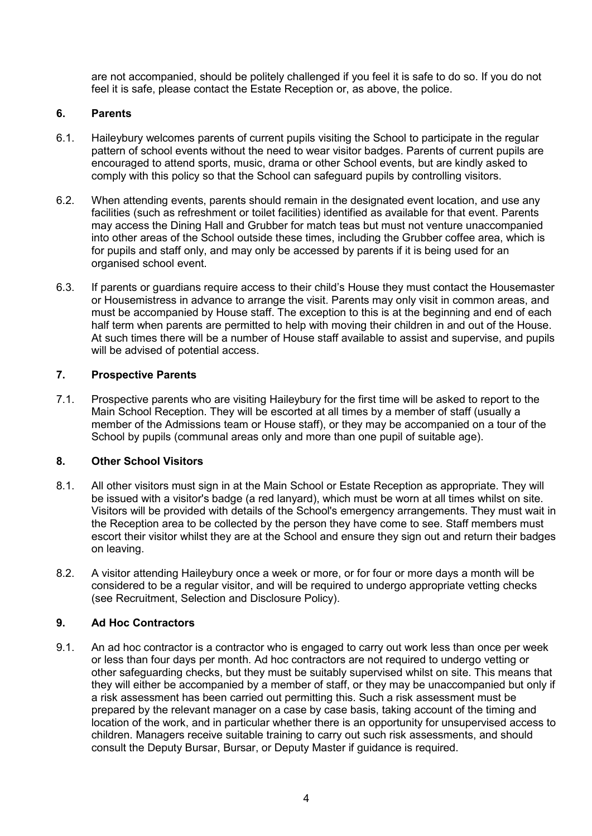are not accompanied, should be politely challenged if you feel it is safe to do so. If you do not feel it is safe, please contact the Estate Reception or, as above, the police.

#### **6. Parents**

- 6.1. Haileybury welcomes parents of current pupils visiting the School to participate in the regular pattern of school events without the need to wear visitor badges. Parents of current pupils are encouraged to attend sports, music, drama or other School events, but are kindly asked to comply with this policy so that the School can safeguard pupils by controlling visitors.
- 6.2. When attending events, parents should remain in the designated event location, and use any facilities (such as refreshment or toilet facilities) identified as available for that event. Parents may access the Dining Hall and Grubber for match teas but must not venture unaccompanied into other areas of the School outside these times, including the Grubber coffee area, which is for pupils and staff only, and may only be accessed by parents if it is being used for an organised school event.
- 6.3. If parents or guardians require access to their child's House they must contact the Housemaster or Housemistress in advance to arrange the visit. Parents may only visit in common areas, and must be accompanied by House staff. The exception to this is at the beginning and end of each half term when parents are permitted to help with moving their children in and out of the House. At such times there will be a number of House staff available to assist and supervise, and pupils will be advised of potential access.

#### **7. Prospective Parents**

7.1. Prospective parents who are visiting Haileybury for the first time will be asked to report to the Main School Reception. They will be escorted at all times by a member of staff (usually a member of the Admissions team or House staff), or they may be accompanied on a tour of the School by pupils (communal areas only and more than one pupil of suitable age).

#### **8. Other School Visitors**

- 8.1. All other visitors must sign in at the Main School or Estate Reception as appropriate. They will be issued with a visitor's badge (a red lanyard), which must be worn at all times whilst on site. Visitors will be provided with details of the School's emergency arrangements. They must wait in the Reception area to be collected by the person they have come to see. Staff members must escort their visitor whilst they are at the School and ensure they sign out and return their badges on leaving.
- 8.2. A visitor attending Haileybury once a week or more, or for four or more days a month will be considered to be a regular visitor, and will be required to undergo appropriate vetting checks (see Recruitment, Selection and Disclosure Policy).

# **9. Ad Hoc Contractors**

9.1. An ad hoc contractor is a contractor who is engaged to carry out work less than once per week or less than four days per month. Ad hoc contractors are not required to undergo vetting or other safeguarding checks, but they must be suitably supervised whilst on site. This means that they will either be accompanied by a member of staff, or they may be unaccompanied but only if a risk assessment has been carried out permitting this. Such a risk assessment must be prepared by the relevant manager on a case by case basis, taking account of the timing and location of the work, and in particular whether there is an opportunity for unsupervised access to children. Managers receive suitable training to carry out such risk assessments, and should consult the Deputy Bursar, Bursar, or Deputy Master if guidance is required.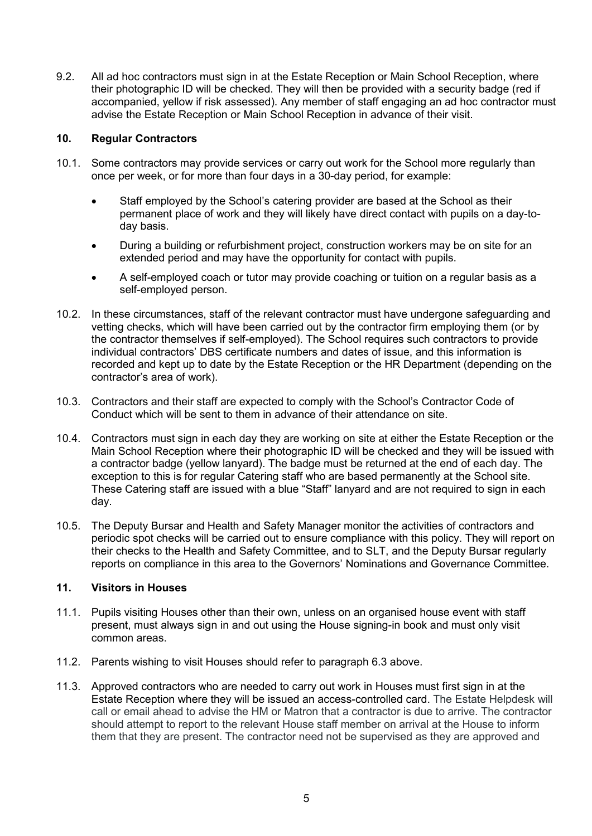9.2. All ad hoc contractors must sign in at the Estate Reception or Main School Reception, where their photographic ID will be checked. They will then be provided with a security badge (red if accompanied, yellow if risk assessed). Any member of staff engaging an ad hoc contractor must advise the Estate Reception or Main School Reception in advance of their visit.

#### **10. Regular Contractors**

- 10.1. Some contractors may provide services or carry out work for the School more regularly than once per week, or for more than four days in a 30-day period, for example:
	- Staff employed by the School's catering provider are based at the School as their permanent place of work and they will likely have direct contact with pupils on a day-today basis.
	- During a building or refurbishment project, construction workers may be on site for an extended period and may have the opportunity for contact with pupils.
	- A self-employed coach or tutor may provide coaching or tuition on a regular basis as a self-employed person.
- 10.2. In these circumstances, staff of the relevant contractor must have undergone safeguarding and vetting checks, which will have been carried out by the contractor firm employing them (or by the contractor themselves if self-employed). The School requires such contractors to provide individual contractors' DBS certificate numbers and dates of issue, and this information is recorded and kept up to date by the Estate Reception or the HR Department (depending on the contractor's area of work).
- 10.3. Contractors and their staff are expected to comply with the School's Contractor Code of Conduct which will be sent to them in advance of their attendance on site.
- 10.4. Contractors must sign in each day they are working on site at either the Estate Reception or the Main School Reception where their photographic ID will be checked and they will be issued with a contractor badge (yellow lanyard). The badge must be returned at the end of each day. The exception to this is for regular Catering staff who are based permanently at the School site. These Catering staff are issued with a blue "Staff" lanyard and are not required to sign in each day.
- 10.5. The Deputy Bursar and Health and Safety Manager monitor the activities of contractors and periodic spot checks will be carried out to ensure compliance with this policy. They will report on their checks to the Health and Safety Committee, and to SLT, and the Deputy Bursar regularly reports on compliance in this area to the Governors' Nominations and Governance Committee.

# **11. Visitors in Houses**

- 11.1. Pupils visiting Houses other than their own, unless on an organised house event with staff present, must always sign in and out using the House signing-in book and must only visit common areas.
- 11.2. Parents wishing to visit Houses should refer to paragraph 6.3 above.
- 11.3. Approved contractors who are needed to carry out work in Houses must first sign in at the Estate Reception where they will be issued an access-controlled card. The Estate Helpdesk will call or email ahead to advise the HM or Matron that a contractor is due to arrive. The contractor should attempt to report to the relevant House staff member on arrival at the House to inform them that they are present. The contractor need not be supervised as they are approved and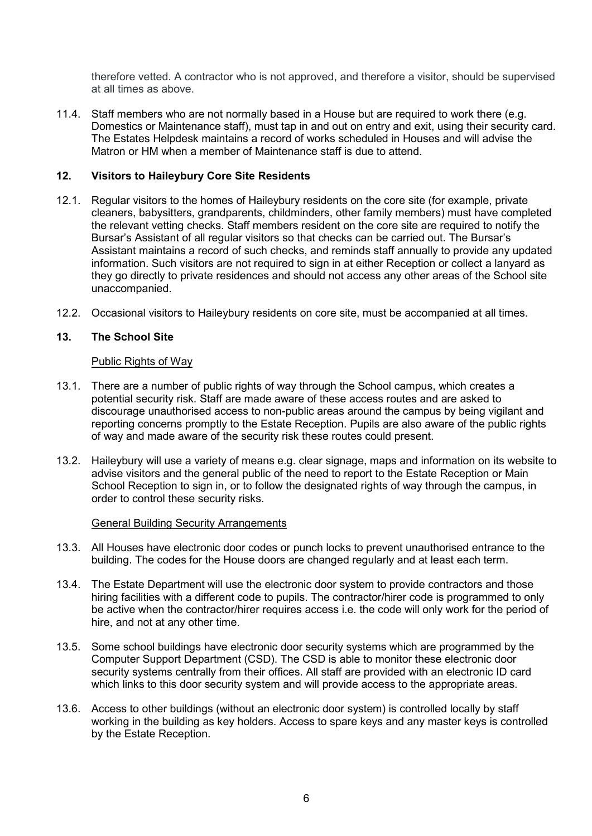therefore vetted. A contractor who is not approved, and therefore a visitor, should be supervised at all times as above.

11.4. Staff members who are not normally based in a House but are required to work there (e.g. Domestics or Maintenance staff), must tap in and out on entry and exit, using their security card. The Estates Helpdesk maintains a record of works scheduled in Houses and will advise the Matron or HM when a member of Maintenance staff is due to attend.

#### **12. Visitors to Haileybury Core Site Residents**

- 12.1. Regular visitors to the homes of Haileybury residents on the core site (for example, private cleaners, babysitters, grandparents, childminders, other family members) must have completed the relevant vetting checks. Staff members resident on the core site are required to notify the Bursar's Assistant of all regular visitors so that checks can be carried out. The Bursar's Assistant maintains a record of such checks, and reminds staff annually to provide any updated information. Such visitors are not required to sign in at either Reception or collect a lanyard as they go directly to private residences and should not access any other areas of the School site unaccompanied.
- 12.2. Occasional visitors to Haileybury residents on core site, must be accompanied at all times.

#### **13. The School Site**

#### Public Rights of Way

- 13.1. There are a number of public rights of way through the School campus, which creates a potential security risk. Staff are made aware of these access routes and are asked to discourage unauthorised access to non-public areas around the campus by being vigilant and reporting concerns promptly to the Estate Reception. Pupils are also aware of the public rights of way and made aware of the security risk these routes could present.
- 13.2. Haileybury will use a variety of means e.g. clear signage, maps and information on its website to advise visitors and the general public of the need to report to the Estate Reception or Main School Reception to sign in, or to follow the designated rights of way through the campus, in order to control these security risks.

#### General Building Security Arrangements

- 13.3. All Houses have electronic door codes or punch locks to prevent unauthorised entrance to the building. The codes for the House doors are changed regularly and at least each term.
- 13.4. The Estate Department will use the electronic door system to provide contractors and those hiring facilities with a different code to pupils. The contractor/hirer code is programmed to only be active when the contractor/hirer requires access i.e. the code will only work for the period of hire, and not at any other time.
- 13.5. Some school buildings have electronic door security systems which are programmed by the Computer Support Department (CSD). The CSD is able to monitor these electronic door security systems centrally from their offices. All staff are provided with an electronic ID card which links to this door security system and will provide access to the appropriate areas.
- 13.6. Access to other buildings (without an electronic door system) is controlled locally by staff working in the building as key holders. Access to spare keys and any master keys is controlled by the Estate Reception.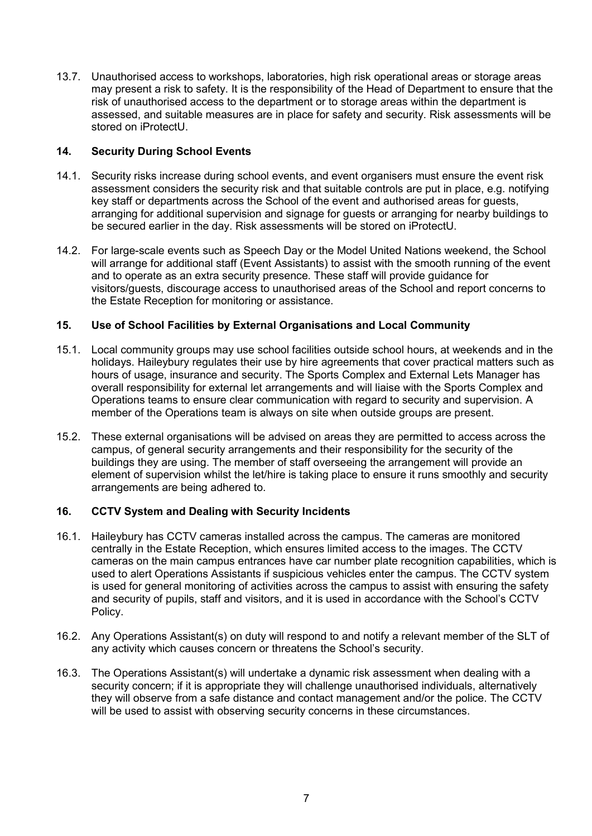13.7. Unauthorised access to workshops, laboratories, high risk operational areas or storage areas may present a risk to safety. It is the responsibility of the Head of Department to ensure that the risk of unauthorised access to the department or to storage areas within the department is assessed, and suitable measures are in place for safety and security. Risk assessments will be stored on iProtectU.

# **14. Security During School Events**

- 14.1. Security risks increase during school events, and event organisers must ensure the event risk assessment considers the security risk and that suitable controls are put in place, e.g. notifying key staff or departments across the School of the event and authorised areas for guests, arranging for additional supervision and signage for guests or arranging for nearby buildings to be secured earlier in the day. Risk assessments will be stored on iProtectU.
- 14.2. For large-scale events such as Speech Day or the Model United Nations weekend, the School will arrange for additional staff (Event Assistants) to assist with the smooth running of the event and to operate as an extra security presence. These staff will provide guidance for visitors/guests, discourage access to unauthorised areas of the School and report concerns to the Estate Reception for monitoring or assistance.

#### **15. Use of School Facilities by External Organisations and Local Community**

- 15.1. Local community groups may use school facilities outside school hours, at weekends and in the holidays. Haileybury regulates their use by hire agreements that cover practical matters such as hours of usage, insurance and security. The Sports Complex and External Lets Manager has overall responsibility for external let arrangements and will liaise with the Sports Complex and Operations teams to ensure clear communication with regard to security and supervision. A member of the Operations team is always on site when outside groups are present.
- 15.2. These external organisations will be advised on areas they are permitted to access across the campus, of general security arrangements and their responsibility for the security of the buildings they are using. The member of staff overseeing the arrangement will provide an element of supervision whilst the let/hire is taking place to ensure it runs smoothly and security arrangements are being adhered to.

# **16. CCTV System and Dealing with Security Incidents**

- 16.1. Haileybury has CCTV cameras installed across the campus. The cameras are monitored centrally in the Estate Reception, which ensures limited access to the images. The CCTV cameras on the main campus entrances have car number plate recognition capabilities, which is used to alert Operations Assistants if suspicious vehicles enter the campus. The CCTV system is used for general monitoring of activities across the campus to assist with ensuring the safety and security of pupils, staff and visitors, and it is used in accordance with the School's CCTV Policy.
- 16.2. Any Operations Assistant(s) on duty will respond to and notify a relevant member of the SLT of any activity which causes concern or threatens the School's security.
- 16.3. The Operations Assistant(s) will undertake a dynamic risk assessment when dealing with a security concern; if it is appropriate they will challenge unauthorised individuals, alternatively they will observe from a safe distance and contact management and/or the police. The CCTV will be used to assist with observing security concerns in these circumstances.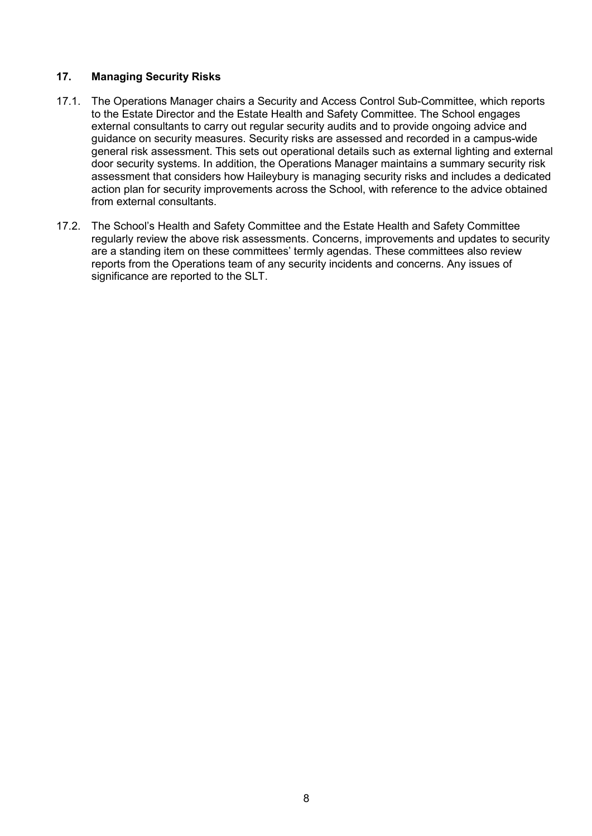#### **17. Managing Security Risks**

- 17.1. The Operations Manager chairs a Security and Access Control Sub-Committee, which reports to the Estate Director and the Estate Health and Safety Committee. The School engages external consultants to carry out regular security audits and to provide ongoing advice and guidance on security measures. Security risks are assessed and recorded in a campus-wide general risk assessment. This sets out operational details such as external lighting and external door security systems. In addition, the Operations Manager maintains a summary security risk assessment that considers how Haileybury is managing security risks and includes a dedicated action plan for security improvements across the School, with reference to the advice obtained from external consultants.
- 17.2. The School's Health and Safety Committee and the Estate Health and Safety Committee regularly review the above risk assessments. Concerns, improvements and updates to security are a standing item on these committees' termly agendas. These committees also review reports from the Operations team of any security incidents and concerns. Any issues of significance are reported to the SLT.